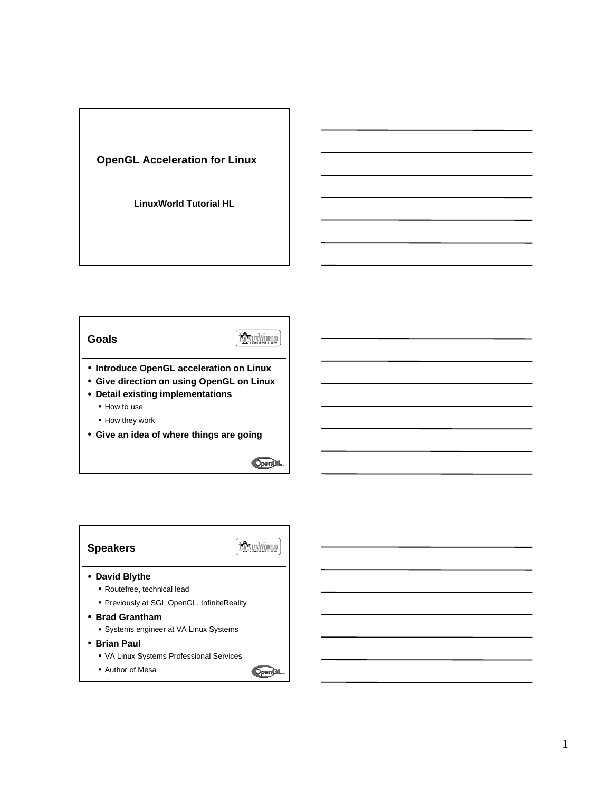

## **Goals**



- **Introduce OpenGL acceleration on Linux**
- **Give direction on using OpenGL on Linux**
- **Detail existing implementations**
	- How to use
	- How they work
- **Give an idea of where things are going**

 $OpenGL$ 

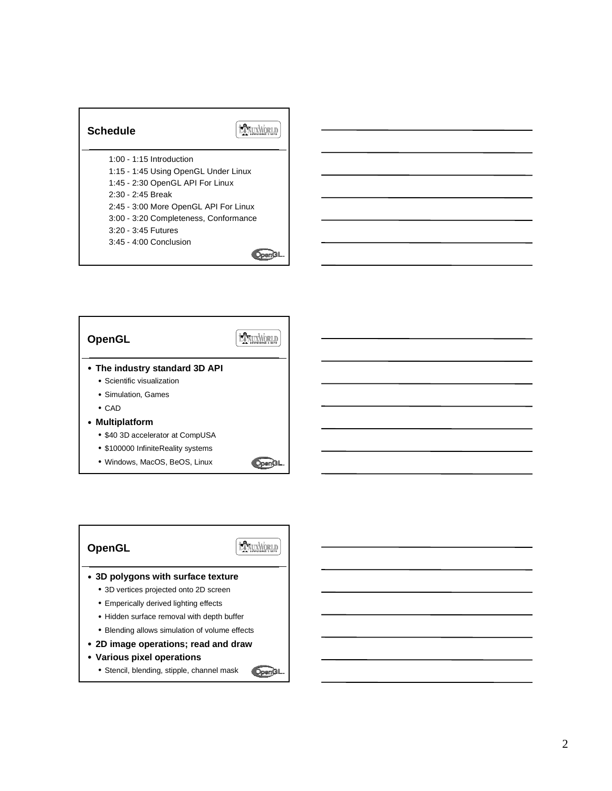| Schedule                              |
|---------------------------------------|
| $1:00 - 1:15$ Introduction            |
| 1:15 - 1:45 Using OpenGL Under Linux  |
| 1:45 - 2:30 OpenGL API For Linux      |
| $2:30 - 2:45$ Break                   |
| 2:45 - 3:00 More OpenGL API For Linux |
| 3:00 - 3:20 Completeness, Conformance |
| $3:20 - 3:45$ Futures                 |
| $3:45 - 4:00$ Conclusion              |
|                                       |



• Windows, MacOS, BeOS, Linux

**OpenGL** 

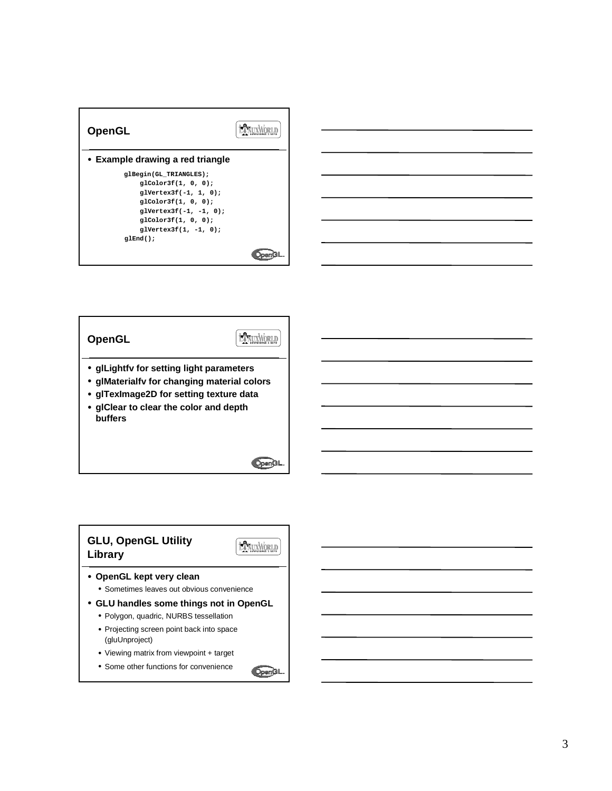| <b>OpenGL</b>                    |  |
|----------------------------------|--|
| • Example drawing a red triangle |  |
| glBegin(GL TRIANGLES);           |  |
| glColor3f(1, 0, 0);              |  |
| $glVertex3f(-1, 1, 0);$          |  |
| $q1 \text{Color3f}(1, 0, 0);$    |  |
| $q1$ Vertex $3f(-1, -1, 0)$ :    |  |
| glColor3f(1, 0, 0);              |  |
| $q1$ Vertex $3f(1, -1, 0)$ :     |  |
| $g1End()$ ;                      |  |
|                                  |  |



**EXTRUXWORLD OpenGL** • **glLightfv for setting light parameters** • **glMaterialfv for changing material colors** • **glTexImage2D for setting texture data** • **glClear to clear the color and depth buffers**

**OpenGL** 

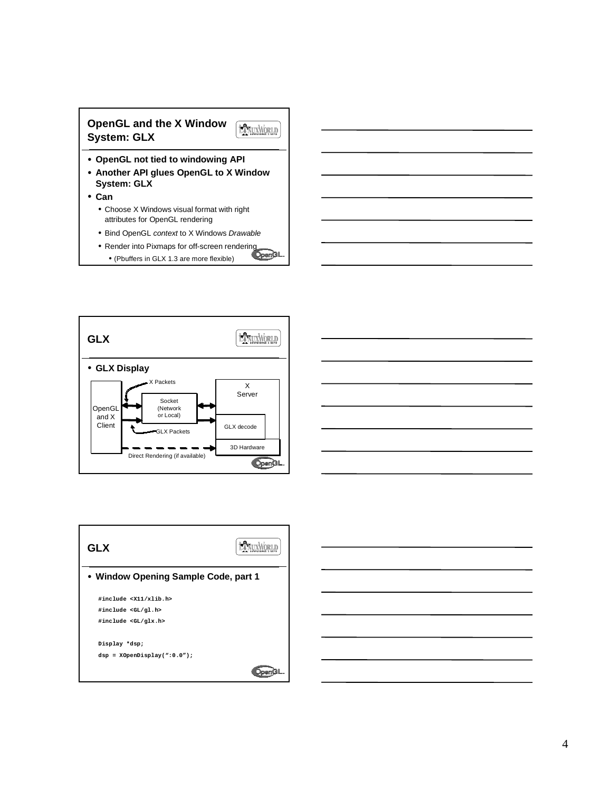







• **Window Opening Sample Code, part 1 #include <X11/xlib.h> #include <GL/gl.h> #include <GL/glx.h> Display \*dsp; dsp = XOpenDisplay(":0.0");OpenGL** 

**GLX**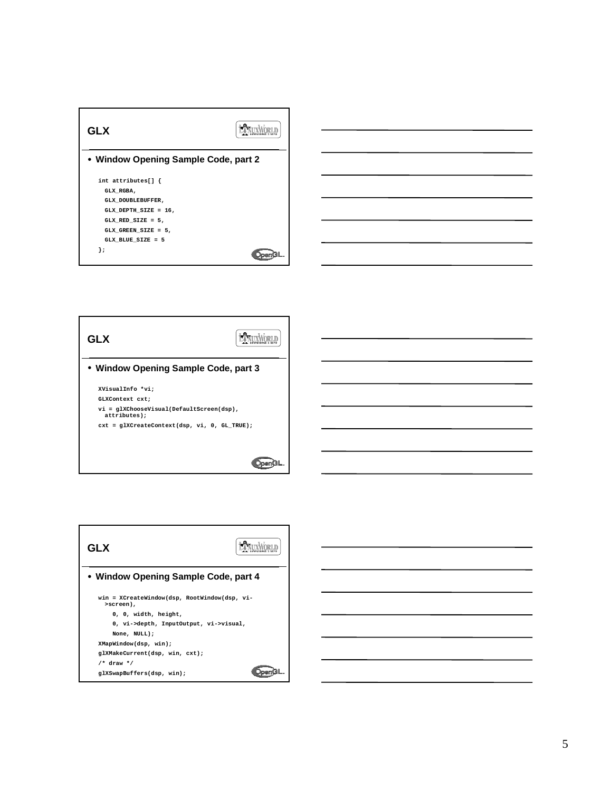| GLX                                          |  |  |
|----------------------------------------------|--|--|
| • Window Opening Sample Code, part 2         |  |  |
| int attributes[] {<br>GLX RGBA,              |  |  |
| GLX DOUBLEBUFFER,<br>GLX DEPTH SIZE = $16$ , |  |  |
| GLX RED SIZE = $5$ ,                         |  |  |
| GLX GREEN SIZE = $5$ ,<br>GLX BLUE SIZE = 5  |  |  |
| ۱;                                           |  |  |



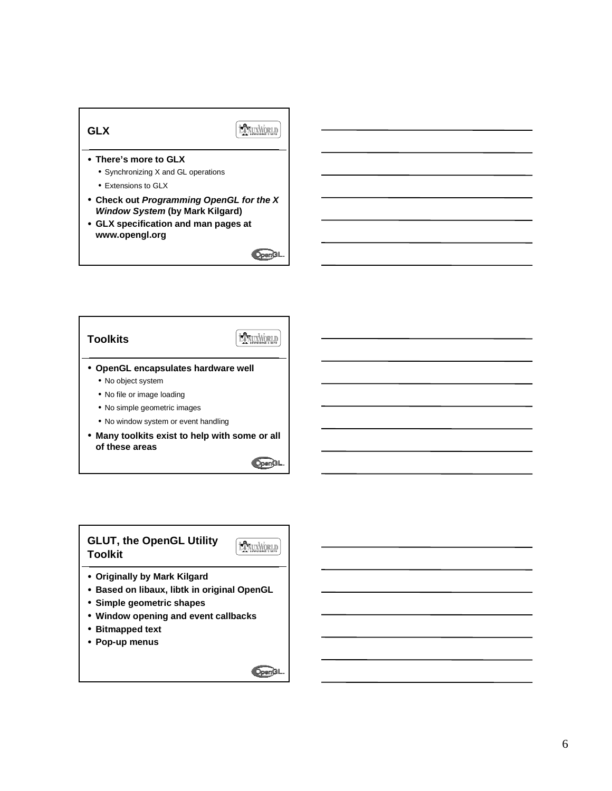



• **Many toolkits exist to help with some or all of these areas**

OpenGL

OpenGL

## **GLUT, the OpenGL Utility Toolkit**

**HANUXWORLD** 

- **Originally by Mark Kilgard**
- **Based on libaux, libtk in original OpenGL**
- **Simple geometric shapes**
- **Window opening and event callbacks**
- **Bitmapped text**
- **Pop-up menus**

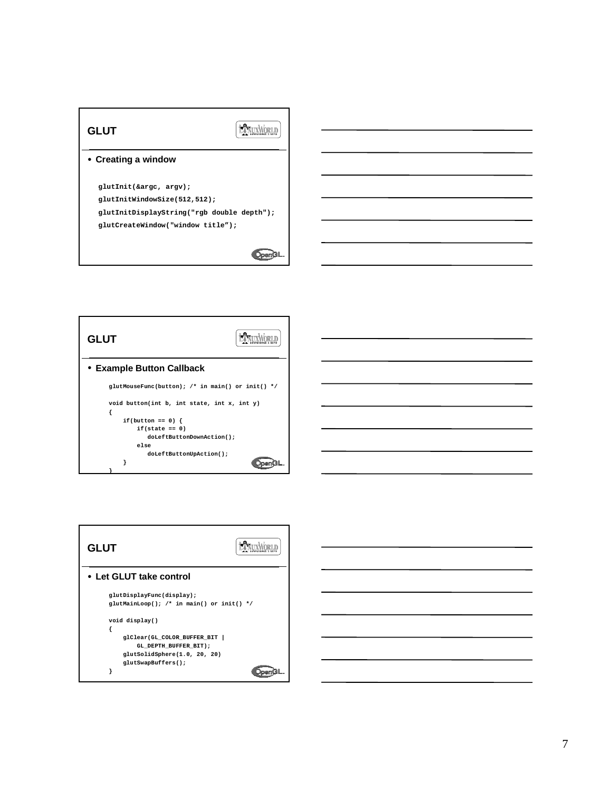



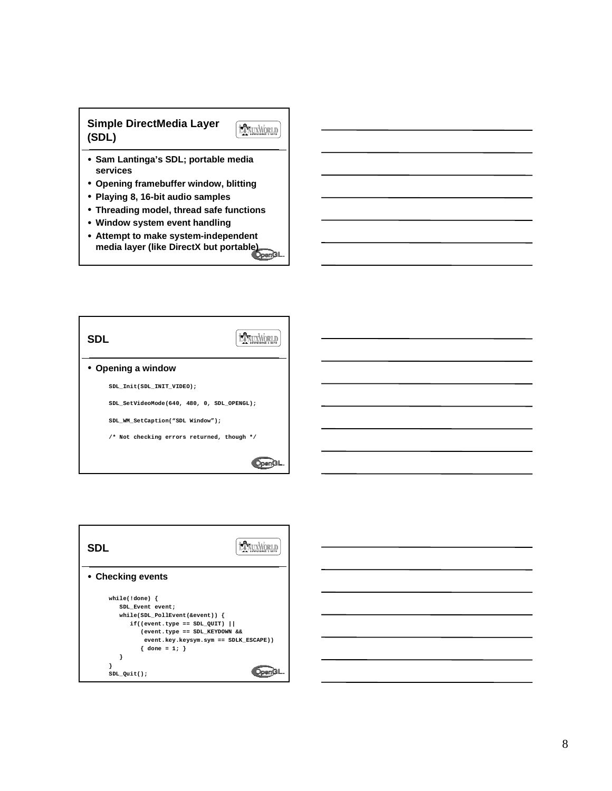## **Simple DirectMedia Layer (SDL)**



- **Sam Lantinga's SDL; portable media services**
- **Opening framebuffer window, blitting**
- **Playing 8, 16-bit audio samples**
- **Threading model, thread safe functions**
- **Window system event handling**
- **Attempt to make system-independent Attempt to make system media layer (like DirectX but portable)**





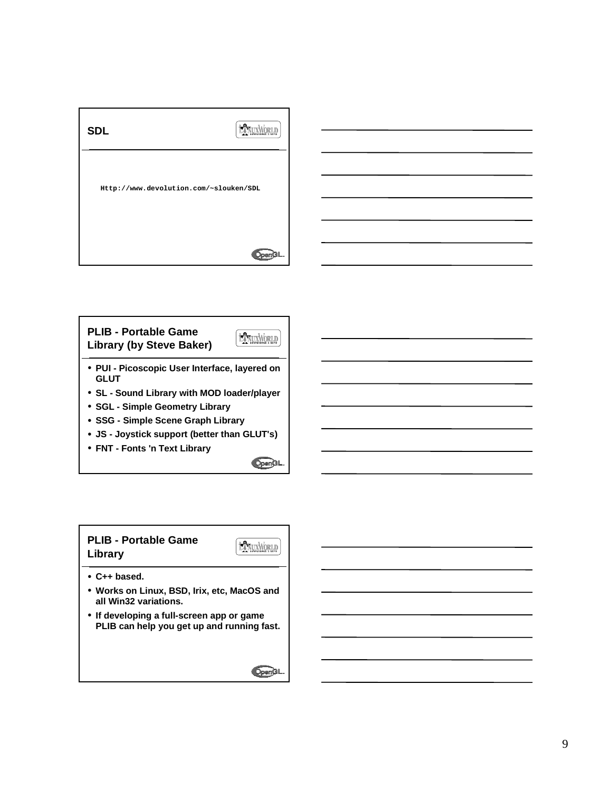



• **FNT - Fonts 'n Text Library**

 $OpenGL$ 

**PLIB - Portable Game** LANUXWORLD **Library** • **C++ based.** • **Works on Linux, BSD, Irix, etc, MacOS and all Win32 variations.**

• **If developing a full-screen app or game PLIB can help you get up and running fast.**

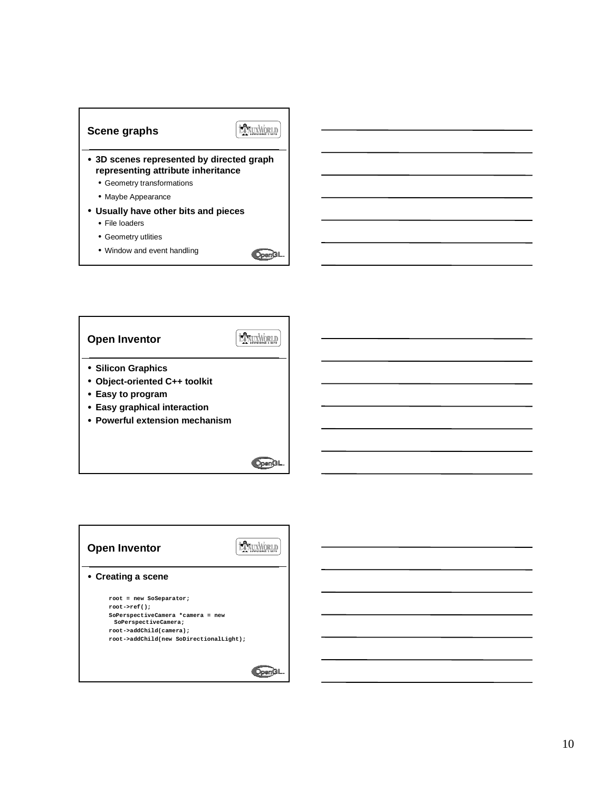

**OpenGI** 

• Window and event handling



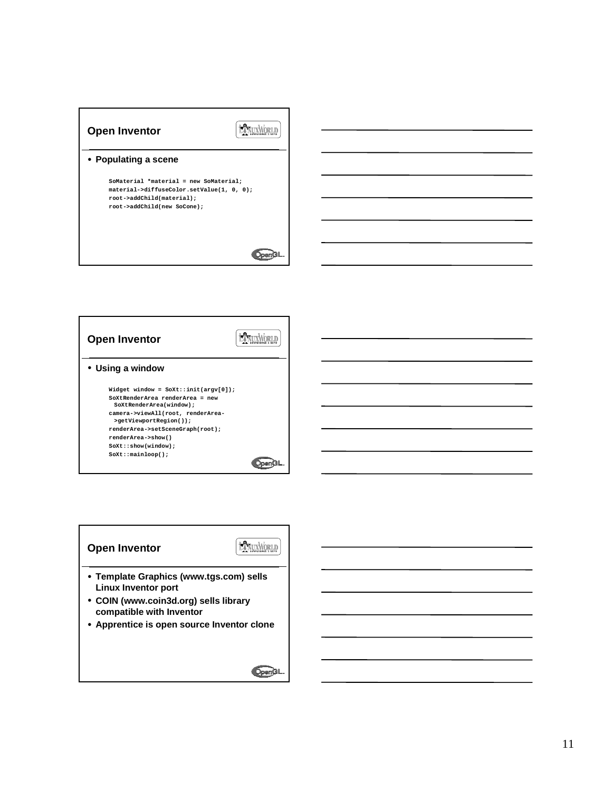| <b>Open Inventor</b>                                                                                                                            |  |
|-------------------------------------------------------------------------------------------------------------------------------------------------|--|
| • Populating a scene                                                                                                                            |  |
| SoMaterial *material = new SoMaterial;<br>material->diffuseColor.setValue(1, 0, 0);<br>root->addChild(material);<br>root->addChild(new SoCone); |  |
|                                                                                                                                                 |  |

| <b>Open Inventor</b>                                                                                                                                                                                                                                                         |  |
|------------------------------------------------------------------------------------------------------------------------------------------------------------------------------------------------------------------------------------------------------------------------------|--|
| • Using a window                                                                                                                                                                                                                                                             |  |
| Widget window = $SOX$ t::init(argv[0]);<br>SoXtRenderArea renderArea = new<br>SoXtRenderArea(window);<br>camera->viewAll(root, renderArea-<br>>getViewportRegion());<br>renderArea->setSceneGraph(root);<br>renderArea->show()<br>SoXt::show(window);<br>$SOKt:mainloop()$ ; |  |

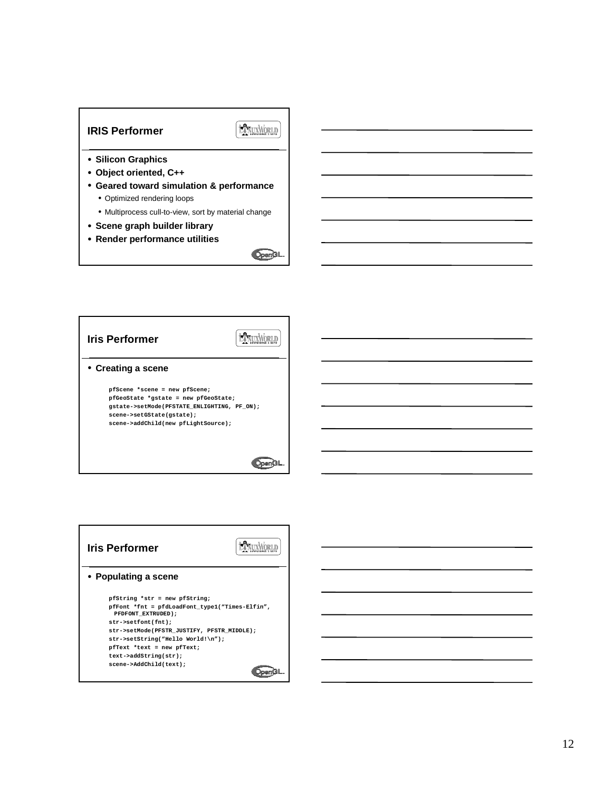## **IRIS Performer**

EXVUXWORLD

- **Silicon Graphics**
- **Object oriented, C++**
- **Geared toward simulation & performance** • Optimized rendering loops
	- Multiprocess cull-to-view, sort by material change
- **Scene graph builder library**
- **Render performance utilities**